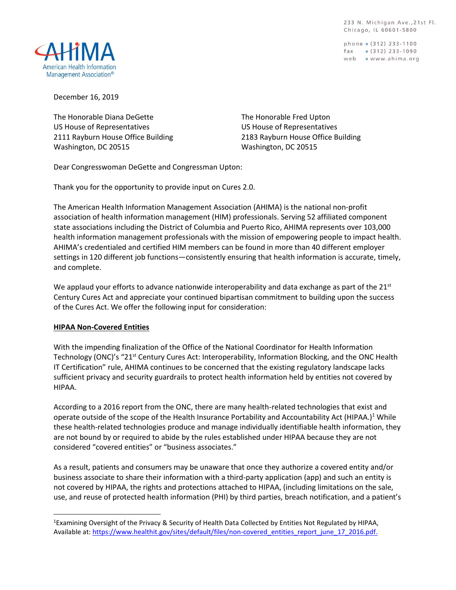233 N. Michigan Ave., 21st Fl. Chicago, IL 60601-5800

phone » (312) 233-1100  $\frac{1}{2}$  (312) 233-1090 web » www.ahima.org



December 16, 2019

The Honorable Diana DeGette US House of Representatives 2111 Rayburn House Office Building Washington, DC 20515

The Honorable Fred Upton US House of Representatives 2183 Rayburn House Office Building Washington, DC 20515

Dear Congresswoman DeGette and Congressman Upton:

Thank you for the opportunity to provide input on Cures 2.0.

The American Health Information Management Association (AHIMA) is the national non-profit association of health information management (HIM) professionals. Serving 52 affiliated component state associations including the District of Columbia and Puerto Rico, AHIMA represents over 103,000 health information management professionals with the mission of empowering people to impact health. AHIMA's credentialed and certified HIM members can be found in more than 40 different employer settings in 120 different job functions—consistently ensuring that health information is accurate, timely, and complete.

We applaud your efforts to advance nationwide interoperability and data exchange as part of the  $21^{st}$ Century Cures Act and appreciate your continued bipartisan commitment to building upon the success of the Cures Act. We offer the following input for consideration:

## **HIPAA Non-Covered Entities**

 $\overline{\phantom{a}}$ 

With the impending finalization of the Office of the National Coordinator for Health Information Technology (ONC)'s "21<sup>st</sup> Century Cures Act: Interoperability, Information Blocking, and the ONC Health IT Certification" rule, AHIMA continues to be concerned that the existing regulatory landscape lacks sufficient privacy and security guardrails to protect health information held by entities not covered by HIPAA.

According to a 2016 report from the ONC, there are many health-related technologies that exist and operate outside of the scope of the Health Insurance Portability and Accountability Act (HIPAA.)<sup>1</sup> While these health-related technologies produce and manage individually identifiable health information, they are not bound by or required to abide by the rules established under HIPAA because they are not considered "covered entities" or "business associates."

As a result, patients and consumers may be unaware that once they authorize a covered entity and/or business associate to share their information with a third-party application (app) and such an entity is not covered by HIPAA, the rights and protections attached to HIPAA, (including limitations on the sale, use, and reuse of protected health information (PHI) by third parties, breach notification, and a patient's

<sup>&</sup>lt;sup>1</sup>Examining Oversight of the Privacy & Security of Health Data Collected by Entities Not Regulated by HIPAA, Available at: [https://www.healthit.gov/sites/default/files/non-covered\\_entities\\_report\\_june\\_17\\_2016.pdf.](https://www.healthit.gov/sites/default/files/non-covered_entities_report_june_17_2016.pdf)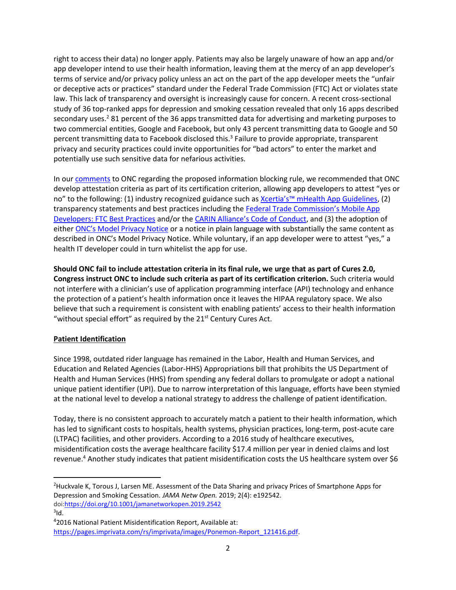right to access their data) no longer apply. Patients may also be largely unaware of how an app and/or app developer intend to use their health information, leaving them at the mercy of an app developer's terms of service and/or privacy policy unless an act on the part of the app developer meets the "unfair or deceptive acts or practices" standard under the Federal Trade Commission (FTC) Act or violates state law. This lack of transparency and oversight is increasingly cause for concern. A recent cross-sectional study of 36 top-ranked apps for depression and smoking cessation revealed that only 16 apps described secondary uses.<sup>2</sup> 81 percent of the 36 apps transmitted data for advertising and marketing purposes to two commercial entities, Google and Facebook, but only 43 percent transmitting data to Google and 50 percent transmitting data to Facebook disclosed this.<sup>3</sup> Failure to provide appropriate, transparent privacy and security practices could invite opportunities for "bad actors" to enter the market and potentially use such sensitive data for nefarious activities.

In our [comments](http://bok.ahima.org/PdfView?oid=302761) to ONC regarding the proposed information blocking rule, we recommended that ONC develop attestation criteria as part of its certification criterion, allowing app developers to attest "yes or no" to the following: (1) industry recognized guidance such as Xcertia's™ [mHealth App Guidelines,](https://xcertia.org/the-guidelines/) (2) transparency statements and best practices including the Federal Trade Commission's Mobile App [Developers: FTC Best Practices](https://www.ftc.gov/tips-advice/business-center/guidance/mobile-health-app-developers-ftc-best-practices) and/or the [CARIN Alliance's Code of Conduct](https://www.carinalliance.com/our-work/trust-framework-and-code-of-conduct/), and (3) the adoption of either [ONC's Model P](https://www.healthit.gov/sites/default/files/2018modelprivacynotice.pdf)rivacy Notice or a notice in plain language with substantially the same content as described in ONC's Model Privacy Notice. While voluntary, if an app developer were to attest "yes," a health IT developer could in turn whitelist the app for use.

**Should ONC fail to include attestation criteria in its final rule, we urge that as part of Cures 2.0, Congress instruct ONC to include such criteria as part of its certification criterion.** Such criteria would not interfere with a clinician's use of application programming interface (API) technology and enhance the protection of a patient's health information once it leaves the HIPAA regulatory space. We also believe that such a requirement is consistent with enabling patients' access to their health information "without special effort" as required by the  $21<sup>st</sup>$  Century Cures Act.

## **Patient Identification**

Since 1998, outdated rider language has remained in the Labor, Health and Human Services, and Education and Related Agencies (Labor-HHS) Appropriations bill that prohibits the US Department of Health and Human Services (HHS) from spending any federal dollars to promulgate or adopt a national unique patient identifier (UPI). Due to narrow interpretation of this language, efforts have been stymied at the national level to develop a national strategy to address the challenge of patient identification.

Today, there is no consistent approach to accurately match a patient to their health information, which has led to significant costs to hospitals, health systems, physician practices, long-term, post-acute care (LTPAC) facilities, and other providers. According to a 2016 study of healthcare executives, misidentification costs the average healthcare facility \$17.4 million per year in denied claims and lost revenue.<sup>4</sup> Another study indicates that patient misidentification costs the US healthcare system over \$6

 $\overline{\phantom{a}}$ 

<sup>&</sup>lt;sup>2</sup>Huckvale K, Torous J, Larsen ME. Assessment of the Data Sharing and privacy Prices of Smartphone Apps for Depression and Smoking Cessation. *JAMA Netw Open.* 2019; 2(4): e192542. do[i:https://doi.org/10.1001/jamanetworkopen.2019.2542](https://doi.org/10.1001/jamanetworkopen.2019.2542)

 $3$ ld.

<sup>4</sup> 2016 National Patient Misidentification Report, Available at: [https://pages.imprivata.com/rs/imprivata/images/Ponemon-Report\\_121416.pdf](https://pages.imprivata.com/rs/imprivata/images/Ponemon-Report_121416.pdf).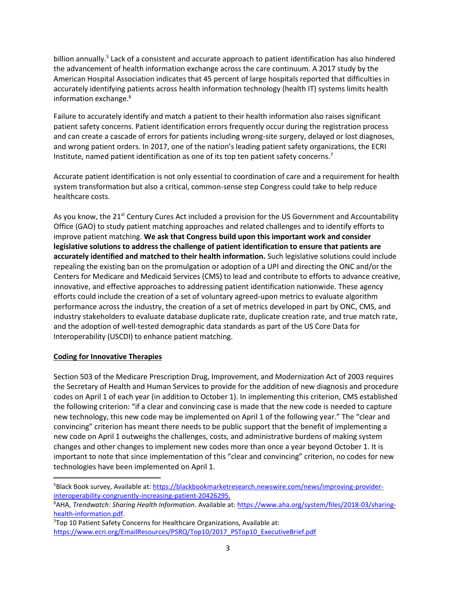billion annually.<sup>5</sup> Lack of a consistent and accurate approach to patient identification has also hindered the advancement of health information exchange across the care continuum. A 2017 study by the American Hospital Association indicates that 45 percent of large hospitals reported that difficulties in accurately identifying patients across health information technology (health IT) systems limits health information exchange.<sup>6</sup>

Failure to accurately identify and match a patient to their health information also raises significant patient safety concerns. Patient identification errors frequently occur during the registration process and can create a cascade of errors for patients including wrong-site surgery, delayed or lost diagnoses, and wrong patient orders. In 2017, one of the nation's leading patient safety organizations, the ECRI Institute, named patient identification as one of its top ten patient safety concerns.<sup>7</sup>

Accurate patient identification is not only essential to coordination of care and a requirement for health system transformation but also a critical, common-sense step Congress could take to help reduce healthcare costs.

As you know, the 21<sup>st</sup> Century Cures Act included a provision for the US Government and Accountability Office (GAO) to study patient matching approaches and related challenges and to identify efforts to improve patient matching. **We ask that Congress build upon this important work and consider legislative solutions to address the challenge of patient identification to ensure that patients are accurately identified and matched to their health information.** Such legislative solutions could include repealing the existing ban on the promulgation or adoption of a UPI and directing the ONC and/or the Centers for Medicare and Medicaid Services (CMS) to lead and contribute to efforts to advance creative, innovative, and effective approaches to addressing patient identification nationwide. These agency efforts could include the creation of a set of voluntary agreed-upon metrics to evaluate algorithm performance across the industry, the creation of a set of metrics developed in part by ONC, CMS, and industry stakeholders to evaluate database duplicate rate, duplicate creation rate, and true match rate, and the adoption of well-tested demographic data standards as part of the US Core Data for Interoperability (USCDI) to enhance patient matching.

## **Coding for Innovative Therapies**

l

Section 503 of the Medicare Prescription Drug, Improvement, and Modernization Act of 2003 requires the Secretary of Health and Human Services to provide for the addition of new diagnosis and procedure codes on April 1 of each year (in addition to October 1). In implementing this criterion, CMS established the following criterion: "if a clear and convincing case is made that the new code is needed to capture new technology, this new code may be implemented on April 1 of the following year." The "clear and convincing" criterion has meant there needs to be public support that the benefit of implementing a new code on April 1 outweighs the challenges, costs, and administrative burdens of making system changes and other changes to implement new codes more than once a year beyond October 1. It is important to note that since implementation of this "clear and convincing" criterion, no codes for new technologies have been implemented on April 1.

<sup>5</sup>Black Book survey, Available at: [https://blackbookmarketresearch.newswire.com/news/improving-provider](https://blackbookmarketresearch.newswire.com/news/improving-provider-interoperability-congruently-increasing-patient-20426295)[interoperability-congruently-increasing-patient-20426295.](https://blackbookmarketresearch.newswire.com/news/improving-provider-interoperability-congruently-increasing-patient-20426295)

<sup>6</sup>AHA, *Trendwatch: Sharing Health Information*. Available at[: https://www.aha.org/system/files/2018-03/sharing](https://www.aha.org/system/files/2018-03/sharing-health-information.pdf)[health-information.pdf.](https://www.aha.org/system/files/2018-03/sharing-health-information.pdf)

 $7$ Top 10 Patient Safety Concerns for Healthcare Organizations, Available at: [https://www.ecri.org/EmailResources/PSRQ/Top10/2017\\_PSTop10\\_ExecutiveBrief.pdf](https://www.ecri.org/EmailResources/PSRQ/Top10/2017_PSTop10_ExecutiveBrief.pdf)